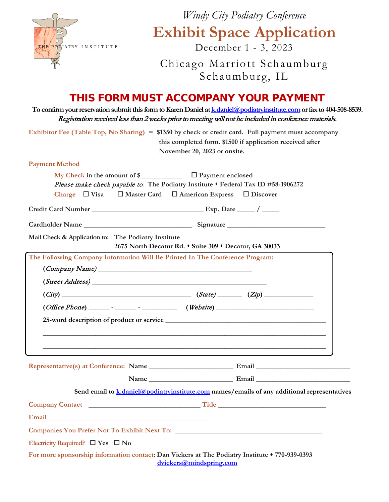|                                                               | Windy City Podiatry Conference                                                                                                                                                                                                           |
|---------------------------------------------------------------|------------------------------------------------------------------------------------------------------------------------------------------------------------------------------------------------------------------------------------------|
| THE PODIATRY INSTITUTE                                        | <b>Exhibit Space Application</b><br>December 1 - 3, 2023                                                                                                                                                                                 |
|                                                               | Chicago Marriott Schaumburg<br>Schaumburg, IL                                                                                                                                                                                            |
|                                                               | THIS FORM MUST ACCOMPANY YOUR PAYMENT                                                                                                                                                                                                    |
|                                                               | To confirm your reservation submit this form to Karen Daniel at <b>k</b> daniel @podiatryinstitute.com or fax to 404-508-8539.<br>Registration received less than 2 weeks prior to meeting will not be included in conference materials. |
|                                                               | Exhibitor Fee (Table Top, No Sharing) = $$1350$ by check or credit card. Full payment must accompany<br>this completed form. \$1500 if application received after<br>November 20, 2023 or onsite.                                        |
| <b>Payment Method</b>                                         |                                                                                                                                                                                                                                          |
| Charge $\Box$ Visa $\Box$ Master Card $\Box$ American Express | My Check in the amount of $\S$ $\Box$ $\Box$ Payment enclosed<br>Please make check payable to: The Podiatry Institute . Federal Tax ID #58-1906272<br>$\Box$ Discover                                                                    |
|                                                               |                                                                                                                                                                                                                                          |
|                                                               |                                                                                                                                                                                                                                          |
| Mail Check & Application to: The Podiatry Institute           | 2675 North Decatur Rd. • Suite 309 • Decatur, GA 30033                                                                                                                                                                                   |
| $\left( \textit{Company Name} \right)$                        | The Following Company Information Will Be Printed In The Conference Program:                                                                                                                                                             |
|                                                               |                                                                                                                                                                                                                                          |
|                                                               | $(City)$ (City) (State) (State) (Xip)                                                                                                                                                                                                    |
|                                                               |                                                                                                                                                                                                                                          |
|                                                               |                                                                                                                                                                                                                                          |
|                                                               |                                                                                                                                                                                                                                          |
|                                                               |                                                                                                                                                                                                                                          |
|                                                               |                                                                                                                                                                                                                                          |
|                                                               | Send email to <b>k</b> , daniel@podiatryinstitute.com names/emails of any additional representatives                                                                                                                                     |
|                                                               |                                                                                                                                                                                                                                          |
|                                                               |                                                                                                                                                                                                                                          |
|                                                               |                                                                                                                                                                                                                                          |
| Electricity Required? $\Box$ Yes $\Box$ No                    |                                                                                                                                                                                                                                          |
|                                                               | For more sponsorship information contact: Dan Vickers at The Podiatry Institute $\star$ 770-939-0393<br>dvickers@mindspring.com                                                                                                          |